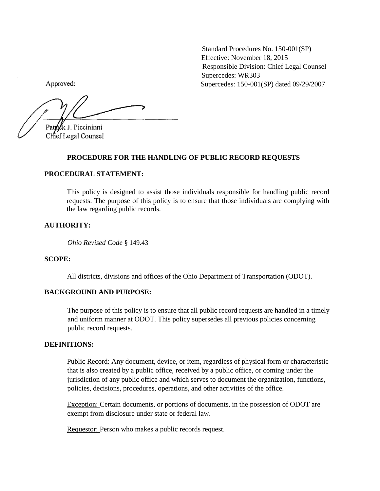Standard Procedures No. 150-001(SP) Effective: November 18, 2015 Responsible Division: Chief Legal Counsel Supercedes: WR303 Supercedes: 150-001(SP) dated 09/29/2007

Approved:

 $\frac{1}{2}$  and  $\frac{1}{2}$  and  $\frac{1}{2}$  and  $\frac{1}{2}$  and  $\frac{1}{2}$  and  $\frac{1}{2}$  and  $\frac{1}{2}$  and  $\frac{1}{2}$  and  $\frac{1}{2}$  and  $\frac{1}{2}$  and  $\frac{1}{2}$  and  $\frac{1}{2}$  and  $\frac{1}{2}$  and  $\frac{1}{2}$  and  $\frac{1}{2}$  and  $\frac{1}{2}$  a Patrick J. Piccininni Chief Legal Counsel

### **PROCEDURE FOR THE HANDLING OF PUBLIC RECORD REQUESTS**

### **PROCEDURAL STATEMENT:**

This policy is designed to assist those individuals responsible for handling public record requests. The purpose of this policy is to ensure that those individuals are complying with the law regarding public records.

### **AUTHORITY:**

*Ohio Revised Code* § 149.43

### **SCOPE:**

All districts, divisions and offices of the Ohio Department of Transportation (ODOT).

# **BACKGROUND AND PURPOSE:**

The purpose of this policy is to ensure that all public record requests are handled in a timely and uniform manner at ODOT. This policy supersedes all previous policies concerning public record requests.

### **DEFINITIONS:**

Public Record: Any document, device, or item, regardless of physical form or characteristic that is also created by a public office, received by a public office, or coming under the jurisdiction of any public office and which serves to document the organization, functions, policies, decisions, procedures, operations, and other activities of the office.

Exception: Certain documents, or portions of documents, in the possession of ODOT are exempt from disclosure under state or federal law.

Requestor: Person who makes a public records request.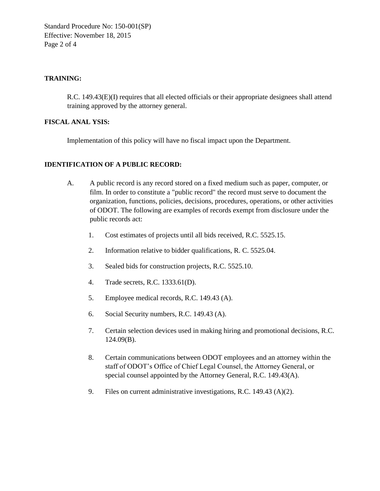Standard Procedure No: 150-001(SP) Effective: November 18, 2015 Page 2 of 4

# **TRAINING:**

R.C. 149.43(E)(I) requires that all elected officials or their appropriate designees shall attend training approved by the attorney general.

## **FISCAL ANAL YSIS:**

Implementation of this policy will have no fiscal impact upon the Department.

# **IDENTIFICATION OF A PUBLIC RECORD:**

- A. A public record is any record stored on a fixed medium such as paper, computer, or film. In order to constitute a "public record" the record must serve to document the organization, functions, policies, decisions, procedures, operations, or other activities of ODOT. The following are examples of records exempt from disclosure under the public records act:
	- 1. Cost estimates of projects until all bids received, R.C. 5525.15.
	- 2. Information relative to bidder qualifications, R. C. 5525.04.
	- 3. Sealed bids for construction projects, R.C. 5525.10.
	- 4. Trade secrets, R.C. 1333.61(D).
	- 5. Employee medical records, R.C. 149.43 (A).
	- 6. Social Security numbers, R.C. 149.43 (A).
	- 7. Certain selection devices used in making hiring and promotional decisions, R.C. 124.09(B).
	- 8. Certain communications between ODOT employees and an attorney within the staff of ODOT's Office of Chief Legal Counsel, the Attorney General, or special counsel appointed by the Attorney General, R.C. 149.43(A).
	- 9. Files on current administrative investigations, R.C. 149.43 (A)(2).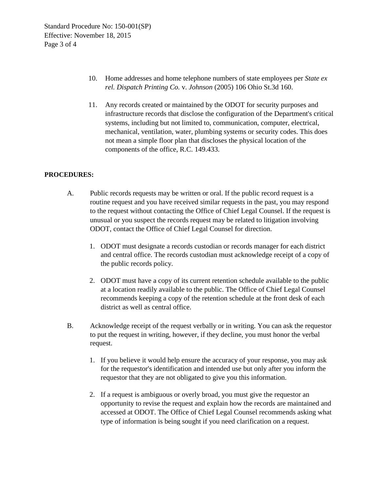- 10. Home addresses and home telephone numbers of state employees per *State ex rel. Dispatch Printing Co.* v. *Johnson* (2005) 106 Ohio St.3d 160.
- 11. Any records created or maintained by the ODOT for security purposes and infrastructure records that disclose the configuration of the Department's critical systems, including but not limited to, communication, computer, electrical, mechanical, ventilation, water, plumbing systems or security codes. This does not mean a simple floor plan that discloses the physical location of the components of the office, R.C. 149.433.

# **PROCEDURES:**

- A. Public records requests may be written or oral. If the public record request is a routine request and you have received similar requests in the past, you may respond to the request without contacting the Office of Chief Legal Counsel. If the request is unusual or you suspect the records request may be related to litigation involving ODOT, contact the Office of Chief Legal Counsel for direction.
	- 1. ODOT must designate a records custodian or records manager for each district and central office. The records custodian must acknowledge receipt of a copy of the public records policy.
	- 2. ODOT must have a copy of its current retention schedule available to the public at a location readily available to the public. The Office of Chief Legal Counsel recommends keeping a copy of the retention schedule at the front desk of each district as well as central office.
- B. Acknowledge receipt of the request verbally or in writing. You can ask the requestor to put the request in writing, however, if they decline, you must honor the verbal request.
	- 1. If you believe it would help ensure the accuracy of your response, you may ask for the requestor's identification and intended use but only after you inform the requestor that they are not obligated to give you this information.
	- 2. If a request is ambiguous or overly broad, you must give the requestor an opportunity to revise the request and explain how the records are maintained and accessed at ODOT. The Office of Chief Legal Counsel recommends asking what type of information is being sought if you need clarification on a request.